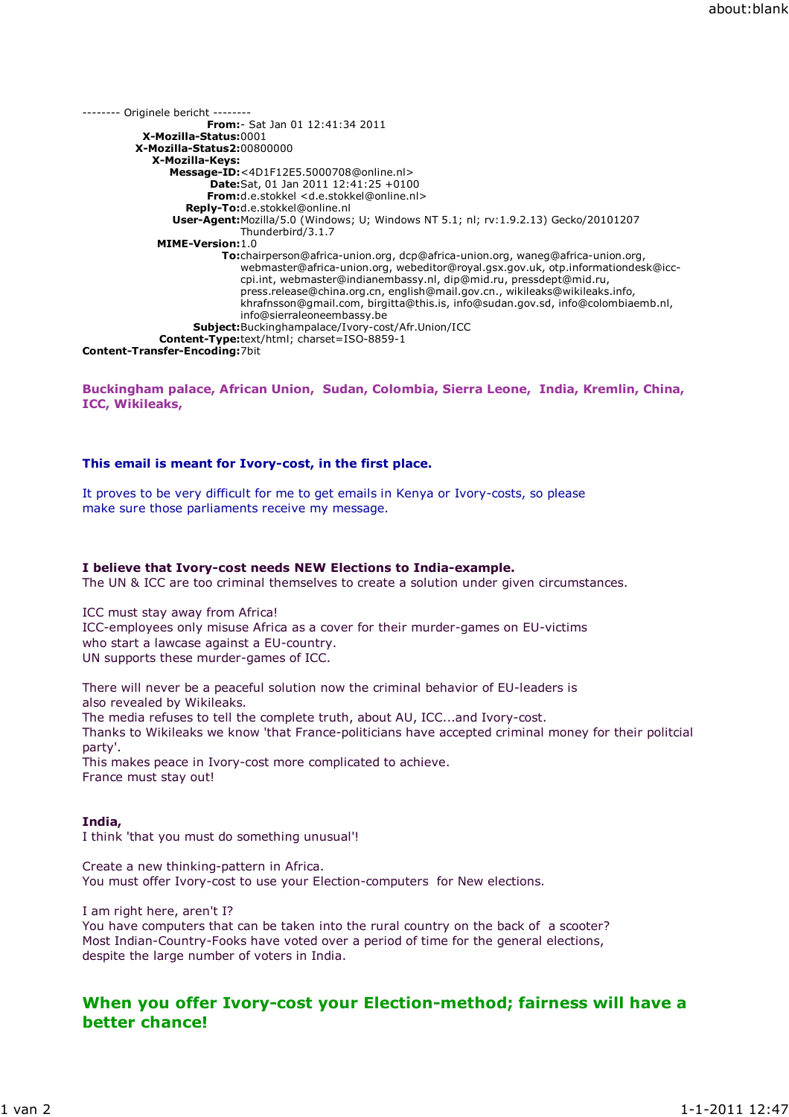-------- Originele bericht -------- From:- Sat Jan 01 12:41:34 2011 X-Mozilla-Status:0001 X-Mozilla-Status2:00800000 X-Mozilla-Keys: Message-ID:<4D1F12E5.5000708@online.nl> Date:Sat, 01 Jan 2011 12:41:25 +0100 From:d.e.stokkel <d.e.stokkel@online.nl> Reply-To:d.e.stokkel@online.nl User-Agent:Mozilla/5.0 (Windows; U; Windows NT 5.1; nl; rv:1.9.2.13) Gecko/20101207 Thunderbird/3.1.7 MIME-Version:1.0 To:chairperson@africa-union.org, dcp@africa-union.org, waneg@africa-union.org, webmaster@africa-union.org, webeditor@royal.gsx.gov.uk, otp.informationdesk@icccpi.int, webmaster@indianembassy.nl, dip@mid.ru, pressdept@mid.ru, press.release@china.org.cn, english@mail.gov.cn., wikileaks@wikileaks.info, khrafnsson@gmail.com, birgitta@this.is, info@sudan.gov.sd, info@colombiaemb.nl, info@sierraleoneembassy.be Subject:Buckinghampalace/Ivory-cost/Afr.Union/ICC Content-Type:text/html; charset=ISO-8859-1 Content-Transfer-Encoding:7bit

## Buckingham palace, African Union, Sudan, Colombia, Sierra Leone, India, Kremlin, China, ICC, Wikileaks,

### This email is meant for Ivory-cost, in the first place.

It proves to be very difficult for me to get emails in Kenya or Ivory-costs, so please make sure those parliaments receive my message.

#### I believe that Ivory-cost needs NEW Elections to India-example.

The UN & ICC are too criminal themselves to create a solution under given circumstances.

ICC must stay away from Africa! ICC-employees only misuse Africa as a cover for their murder-games on EU-victims who start a lawcase against a EU-country. UN supports these murder-games of ICC.

There will never be a peaceful solution now the criminal behavior of EU-leaders is also revealed by Wikileaks. The media refuses to tell the complete truth, about AU, ICC...and Ivory-cost. Thanks to Wikileaks we know 'that France-politicians have accepted criminal money for their politcial party'.

This makes peace in Ivory-cost more complicated to achieve. France must stay out!

#### India,

I think 'that you must do something unusual'!

Create a new thinking-pattern in Africa. You must offer Ivory-cost to use your Election-computers for New elections.

I am right here, aren't I? You have computers that can be taken into the rural country on the back of a scooter? Most Indian-Country-Fooks have voted over a period of time for the general elections, despite the large number of voters in India.

# When you offer Ivory-cost your Election-method; fairness will have a better chance!